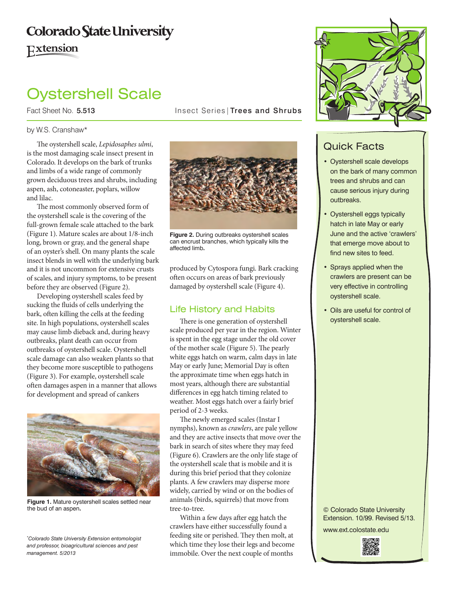## **Colorado State University** Extension

# Oystershell Scale

Fact Sheet No. 5.513 **Insect Series** Trees and Shrubs

#### by W.S. Cranshaw\*

The oystershell scale, *Lepidosaphes ulmi*, is the most damaging scale insect present in Colorado. It develops on the bark of trunks and limbs of a wide range of commonly grown deciduous trees and shrubs, including aspen, ash, cotoneaster, poplars, willow and lilac.

The most commonly observed form of the oystershell scale is the covering of the full-grown female scale attached to the bark (Figure 1). Mature scales are about 1/8-inch long, brown or gray, and the general shape of an oyster's shell. On many plants the scale insect blends in well with the underlying bark and it is not uncommon for extensive crusts of scales, and injury symptoms, to be present before they are observed (Figure 2).

Developing oystershell scales feed by sucking the fluids of cells underlying the bark, often killing the cells at the feeding site. In high populations, oystershell scales may cause limb dieback and, during heavy outbreaks, plant death can occur from outbreaks of oystershell scale. Oystershell scale damage can also weaken plants so that they become more susceptible to pathogens (Figure 3). For example, oystershell scale often damages aspen in a manner that allows for development and spread of cankers



**Figure 1.** Mature oystershell scales settled near the bud of an aspen**.**

*\* Colorado State University Extension entomologist and professor, bioagricultural sciences and pest management. 5/2013*



**Figure 2.** During outbreaks oystershell scales can encrust branches, which typically kills the affected limb**.** 

produced by Cytospora fungi. Bark cracking often occurs on areas of bark previously damaged by oystershell scale (Figure 4).

#### Life History and Habits

There is one generation of oystershell scale produced per year in the region. Winter is spent in the egg stage under the old cover of the mother scale (Figure 5). The pearly white eggs hatch on warm, calm days in late May or early June; Memorial Day is often the approximate time when eggs hatch in most years, although there are substantial differences in egg hatch timing related to weather. Most eggs hatch over a fairly brief period of 2-3 weeks.

The newly emerged scales (Instar I nymphs), known as *crawlers*, are pale yellow and they are active insects that move over the bark in search of sites where they may feed (Figure 6). Crawlers are the only life stage of the oystershell scale that is mobile and it is during this brief period that they colonize plants. A few crawlers may disperse more widely, carried by wind or on the bodies of animals (birds, squirrels) that move from tree-to-tree.

Within a few days after egg hatch the crawlers have either successfully found a feeding site or perished. They then molt, at which time they lose their legs and become immobile. Over the next couple of months



### Quick Facts

- • Oystershell scale develops on the bark of many common trees and shrubs and can cause serious injury during outbreaks.
- • Oystershell eggs typically hatch in late May or early June and the active 'crawlers' that emerge move about to find new sites to feed.
- • Sprays applied when the crawlers are present can be very effective in controlling oystershell scale.
- • Oils are useful for control of oystershell scale.

© Colorado State University Extension. 10/99. Revised 5/13.

www.ext.colostate.edu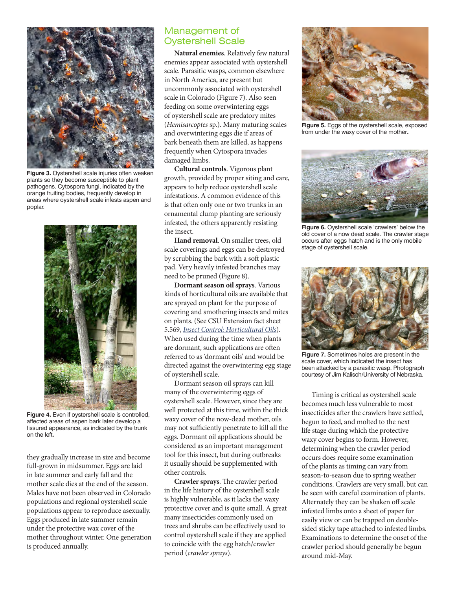

**Figure 3.** Oystershell scale injuries often weaken plants so they become susceptible to plant pathogens. Cytospora fungi, indicated by the orange fruiting bodies, frequently develop in areas where oystershell scale infests aspen and poplar.



**Figure 4.** Even if oystershell scale is controlled, affected areas of aspen bark later develop a fissured appearance, as indicated by the trunk on the left**.** 

they gradually increase in size and become full-grown in midsummer. Eggs are laid in late summer and early fall and the mother scale dies at the end of the season. Males have not been observed in Colorado populations and regional oystershell scale populations appear to reproduce asexually. Eggs produced in late summer remain under the protective wax cover of the mother throughout winter. One generation is produced annually.

#### Management of Oystershell Scale

**Natural enemies**. Relatively few natural enemies appear associated with oystershell scale. Parasitic wasps, common elsewhere in North America, are present but uncommonly associated with oystershell scale in Colorado (Figure 7). Also seen feeding on some overwintering eggs of oystershell scale are predatory mites (*Hemisarcoptes* sp.). Many maturing scales and overwintering eggs die if areas of bark beneath them are killed, as happens frequently when Cytospora invades damaged limbs.

**Cultural controls**. Vigorous plant growth, provided by proper siting and care, appears to help reduce oystershell scale infestations. A common evidence of this is that often only one or two trunks in an ornamental clump planting are seriously infested, the others apparently resisting the insect.

**Hand removal**. On smaller trees, old scale coverings and eggs can be destroyed by scrubbing the bark with a soft plastic pad. Very heavily infested branches may need to be pruned (Figure 8).

**Dormant season oil sprays**. Various kinds of horticultural oils are available that are sprayed on plant for the purpose of covering and smothering insects and mites on plants. (See CSU Extension fact sheet 5.569, *[Insect Control: Horticultural Oils](http://www.ext.colostate.edu/pubs/insect/05569.html)*). When used during the time when plants are dormant, such applications are often referred to as 'dormant oils' and would be directed against the overwintering egg stage of oystershell scale.

Dormant season oil sprays can kill many of the overwintering eggs of oystershell scale. However, since they are well protected at this time, within the thick waxy cover of the now-dead mother, oils may not sufficiently penetrate to kill all the eggs. Dormant oil applications should be considered as an important management tool for this insect, but during outbreaks it usually should be supplemented with other controls.

**Crawler sprays**. The crawler period in the life history of the oystershell scale is highly vulnerable, as it lacks the waxy protective cover and is quite small. A great many insecticides commonly used on trees and shrubs can be effectively used to control oystershell scale if they are applied to coincide with the egg hatch/crawler period (*crawler sprays*).



**Figure 5.** Eggs of the oystershell scale, exposed from under the waxy cover of the mother**.** 



**Figure 6.** Oystershell scale 'crawlers' below the old cover of a now dead scale. The crawler stage occurs after eggs hatch and is the only mobile stage of oystershell scale.



**Figure 7.** Sometimes holes are present in the scale cover, which indicated the insect has been attacked by a parasitic wasp. Photograph courtesy of Jim Kalisch/University of Nebraska.

Timing is critical as oystershell scale becomes much less vulnerable to most insecticides after the crawlers have settled, begun to feed, and molted to the next life stage during which the protective waxy cover begins to form. However, determining when the crawler period occurs does require some examination of the plants as timing can vary from season-to-season due to spring weather conditions. Crawlers are very small, but can be seen with careful examination of plants. Alternately they can be shaken off scale infested limbs onto a sheet of paper for easily view or can be trapped on doublesided sticky tape attached to infested limbs. Examinations to determine the onset of the crawler period should generally be begun around mid-May.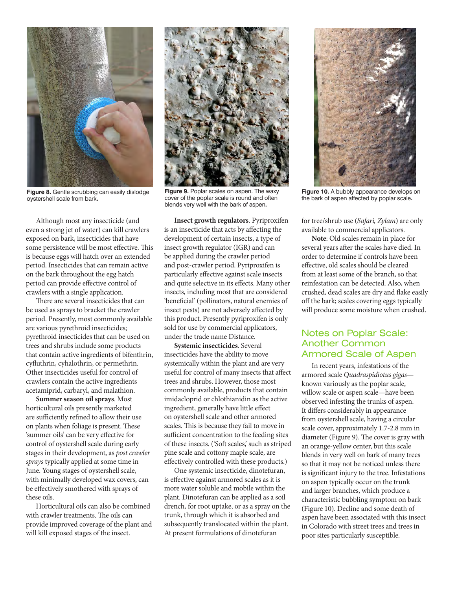

**Figure 8.** Gentle scrubbing can easily dislodge oystershell scale from bark**.**

Although most any insecticide (and even a strong jet of water) can kill crawlers exposed on bark, insecticides that have some persistence will be most effective. This is because eggs will hatch over an extended period. Insecticides that can remain active on the bark throughout the egg hatch period can provide effective control of crawlers with a single application.

There are several insecticides that can be used as sprays to bracket the crawler period. Presently, most commonly available are various pyrethroid insecticides; pyrethroid insecticides that can be used on trees and shrubs include some products that contain active ingredients of bifenthrin, cyfluthrin, cyhalothrin, or permethrin. Other insecticides useful for control of crawlers contain the active ingredients acetamiprid, carbaryl, and malathion.

**Summer season oil sprays**. Most horticultural oils presently marketed are sufficiently refined to allow their use on plants when foliage is present. These 'summer oils' can be very effective for control of oystershell scale during early stages in their development, as *post crawler sprays* typically applied at some time in June. Young stages of oystershell scale, with minimally developed wax covers, can be effectively smothered with sprays of these oils.

Horticultural oils can also be combined with crawler treatments. The oils can provide improved coverage of the plant and will kill exposed stages of the insect.



**Figure 9.** Poplar scales on aspen. The waxy cover of the poplar scale is round and often blends very well with the bark of aspen**.**

**Insect growth regulators**. Pyriproxifen is an insecticide that acts by affecting the development of certain insects, a type of insect growth regulator (IGR) and can be applied during the crawler period and post-crawler period. Pyriproxifen is particularly effective against scale insects and quite selective in its effects. Many other insects, including most that are considered 'beneficial' (pollinators, natural enemies of insect pests) are not adversely affected by this product. Presently pyriproxifen is only sold for use by commercial applicators, under the trade name Distance.

**Systemic insecticides**. Several insecticides have the ability to move systemically within the plant and are very useful for control of many insects that affect trees and shrubs. However, those most commonly available, products that contain imidacloprid or chlothianidin as the active ingredient, generally have little effect on oystershell scale and other armored scales. This is because they fail to move in sufficient concentration to the feeding sites of these insects. ('Soft scales,' such as striped pine scale and cottony maple scale, are effectively controlled with these products.)

One systemic insecticide, dinotefuran, is effective against armored scales as it is more water soluble and mobile within the plant. Dinotefuran can be applied as a soil drench, for root uptake, or as a spray on the trunk, through which it is absorbed and subsequently translocated within the plant. At present formulations of dinotefuran



**Figure 10.** A bubbly appearance develops on the bark of aspen affected by poplar scale**.**

for tree/shrub use (*Safari, Zylam*) are only available to commercial applicators.

**Note**: Old scales remain in place for several years after the scales have died. In order to determine if controls have been effective, old scales should be cleared from at least some of the branch, so that reinfestation can be detected. Also, when crushed, dead scales are dry and flake easily off the bark; scales covering eggs typically will produce some moisture when crushed.

#### Notes on Poplar Scale: Another Common Armored Scale of Aspen

In recent years, infestations of the armored scale *Quadraspidiotus gigas* known variously as the poplar scale, willow scale or aspen scale—have been observed infesting the trunks of aspen. It differs considerably in appearance from oystershell scale, having a circular scale cover, approximately 1.7-2.8 mm in diameter (Figure 9). The cover is gray with an orange-yellow center, but this scale blends in very well on bark of many trees so that it may not be noticed unless there is significant injury to the tree. Infestations on aspen typically occur on the trunk and larger branches, which produce a characteristic bubbling symptom on bark (Figure 10). Decline and some death of aspen have been associated with this insect in Colorado with street trees and trees in poor sites particularly susceptible.